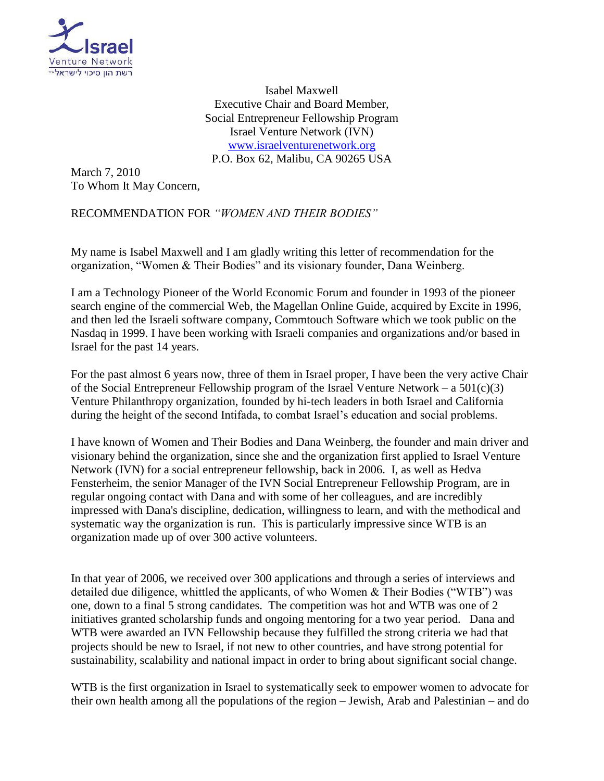

Isabel Maxwell Executive Chair and Board Member, Social Entrepreneur Fellowship Program Israel Venture Network (IVN) [www.israelventurenetwork.org](http://www.israelventurenetwork.org/) P.O. Box 62, Malibu, CA 90265 USA

March 7, 2010 To Whom It May Concern,

RECOMMENDATION FOR *"WOMEN AND THEIR BODIES"*

My name is Isabel Maxwell and I am gladly writing this letter of recommendation for the organization, "Women & Their Bodies" and its visionary founder, Dana Weinberg.

I am a Technology Pioneer of the World Economic Forum and founder in 1993 of the pioneer search engine of the commercial Web, the Magellan Online Guide, acquired by Excite in 1996, and then led the Israeli software company, Commtouch Software which we took public on the Nasdaq in 1999. I have been working with Israeli companies and organizations and/or based in Israel for the past 14 years.

For the past almost 6 years now, three of them in Israel proper, I have been the very active Chair of the Social Entrepreneur Fellowship program of the Israel Venture Network – a  $501(c)(3)$ Venture Philanthropy organization, founded by hi-tech leaders in both Israel and California during the height of the second Intifada, to combat Israel's education and social problems.

I have known of Women and Their Bodies and Dana Weinberg, the founder and main driver and visionary behind the organization, since she and the organization first applied to Israel Venture Network (IVN) for a social entrepreneur fellowship, back in 2006. I, as well as Hedva Fensterheim, the senior Manager of the IVN Social Entrepreneur Fellowship Program, are in regular ongoing contact with Dana and with some of her colleagues, and are incredibly impressed with Dana's discipline, dedication, willingness to learn, and with the methodical and systematic way the organization is run. This is particularly impressive since WTB is an organization made up of over 300 active volunteers.

In that year of 2006, we received over 300 applications and through a series of interviews and detailed due diligence, whittled the applicants, of who Women & Their Bodies ("WTB") was one, down to a final 5 strong candidates. The competition was hot and WTB was one of 2 initiatives granted scholarship funds and ongoing mentoring for a two year period. Dana and WTB were awarded an IVN Fellowship because they fulfilled the strong criteria we had that projects should be new to Israel, if not new to other countries, and have strong potential for sustainability, scalability and national impact in order to bring about significant social change.

WTB is the first organization in Israel to systematically seek to empower women to advocate for their own health among all the populations of the region – Jewish, Arab and Palestinian – and do